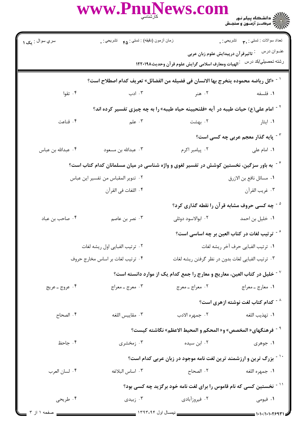## WWW.PnuNews.com

| سري سوال : يک ۱                                                                 | زمان أزمون (دقيقه) : تستي : <sub>۴۵</sub> تشريحي : .                                                            |                    | تعداد سوالات : تستي : ٣ <b>. س</b> تشريحي : .                                  |
|---------------------------------------------------------------------------------|-----------------------------------------------------------------------------------------------------------------|--------------------|--------------------------------------------------------------------------------|
|                                                                                 |                                                                                                                 |                    | عنــوان درس مسلم : تاثيرقرآن درپيدايش علوم زبان عربى                           |
|                                                                                 |                                                                                                                 |                    | رشته تحصبلي/كد درس عبالهيات ومعارف اسلامى گرايش علوم قرآن وحديث١٢٢٠١٩٨         |
|                                                                                 | <sup>\ -</sup> «كل رياضه محموده يتخرج بها الانسان فى فضيله من الفضائل» تعريف كدام اصطلاح است؟                   |                    |                                                                                |
| ۰۴ تقوا                                                                         | ۰۳ ادب                                                                                                          | ۰۲ هنر             | ٠١. فلسفه                                                                      |
|                                                                                 | <sup>۲</sup> <sup>-</sup> امام علی(ع) حیات طیبه در آیه «فلنحیینه حیاه طیبه» را به چه چیزی تفسیر کرده اند؟       |                    |                                                                                |
| ۰۴ قناعت                                                                        | ۰۳ علم                                                                                                          | ۰۲ بهشت            | ۰۱ ایثار                                                                       |
|                                                                                 |                                                                                                                 |                    | <sup>۳ -</sup> پایه گذار معجم عربی چه کسی است؟                                 |
| ۰۴ عبدالله بن عباس                                                              | ۰۳ عبدالله بن مسعود                                                                                             | ۰۲ پیامبر اکرم     | ٠١. امام على                                                                   |
|                                                                                 | <sup>۲</sup> <sup>-</sup> به باور سزگین، نخستین کوشش در تفسیر لغوی و واژه شناسی در میان مسلمانان کدام کتاب است؟ |                    |                                                                                |
|                                                                                 | ٠٢ تنوير المقباس من تفسير اين عباس                                                                              |                    | ٠١. مسائل نافع بن الازرق                                                       |
|                                                                                 | ۴. اللغات في القرآن                                                                                             |                    | ٠٣ غريب القرآن                                                                 |
|                                                                                 |                                                                                                                 |                    | <sup>۵ -</sup> چه کسی حروف مشابه قرآن را نقطه گذاری کرد؟                       |
| ۰۴ صاحب بن عباد                                                                 | ۰۳ نصر بن عاصم                                                                                                  | ۰۲ ابوالاسود دوئلی | ۰۱ خلیل بن احمد                                                                |
|                                                                                 |                                                                                                                 |                    | <sup>7</sup> <sup>-</sup> ترتیب لغات در کتاب العین بر چه اساسی است؟            |
|                                                                                 | ٠٢ ترتيب الفبايي اول ريشه لغات                                                                                  |                    | ٠١ ترتيب الفبايي حرف آخر ريشه لغات                                             |
|                                                                                 | ۰۴ ترتیب لغات بر اساس مخارج حروف                                                                                |                    | ۰۳ ترتیب الفبایی لغات بدون در نظر گرفتن ریشه لغات                              |
|                                                                                 |                                                                                                                 |                    | خلیل در کتاب العین، معاریج و معارج را جمع کدام یک از موارد دانسته است؟ $^\vee$ |
| ۰۴ عروج ـ عريج                                                                  | ۰۳ معرج ــ معراج                                                                                                | ۰۲ معراج ــ معرج   | ۰۱ معارج ـ معراج                                                               |
|                                                                                 |                                                                                                                 |                    | $^{\wedge}$ - كدام كتاب لغت نوشته ازهرى است $^{\wedge}$                        |
| ۰۴ الصحاح                                                                       | ٠٣ مقاييس اللغه                                                                                                 | ۰۲ جمهره الادب     | ٠١. تهذيب اللغه                                                                |
|                                                                                 |                                                                                                                 |                    | <sup>9 -</sup> فرهنگهای« المخصص» و« المحکم و المحیط الاعظم» نگاشته کیست؟       |
| ۰۴ جاحظ                                                                         | ۰۳ زمخشری                                                                                                       | ۰۲ ابن سیده        | ۰۱ جوهری                                                                       |
|                                                                                 |                                                                                                                 |                    | <sup>۱۰ -</sup> بزرگ ترین و ارزشمند ترین لغت نامه موجود در زبان عربی کدام است؟ |
| ۰۴ لسان العرب                                                                   | ٠٣ اساس البلاغه                                                                                                 | ٢. الصحاح          | ٠١. جمهره اللغه                                                                |
| <sup>۱۱ -</sup> نخستین کسی که نام قاموس را برای لغت نامه خود برگزید چه کسی بود؟ |                                                                                                                 |                    |                                                                                |
| ۰۴ طريحي                                                                        | ن زبیدی $\cdot$ ۳                                                                                               | ۰۲ فیروزآبادی      | ۰۱ فیومی                                                                       |
| _ صفحه ۱ از ۳ __                                                                |                                                                                                                 |                    | 1.1.11.1.1994                                                                  |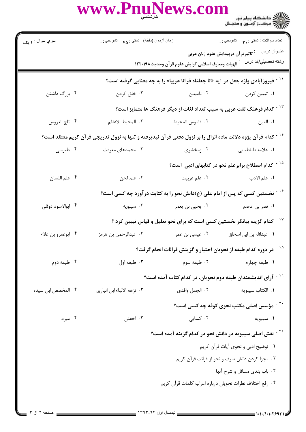WWW.PnuNews.com

| سري سوال : <b>۱ يک</b>                                                                                        | زمان أزمون (دقيقه) : تستى : <sub>۴۵</sub> تشريحي : .                                           |                                                                          | تعداد سوالات : تستي : ٩. سمب     تشريحي : .                                           |  |  |
|---------------------------------------------------------------------------------------------------------------|------------------------------------------------------------------------------------------------|--------------------------------------------------------------------------|---------------------------------------------------------------------------------------|--|--|
|                                                                                                               |                                                                                                |                                                                          | عنــوان درس مسلم : تاثيرقرآن درپيدايش علوم زبان عربى                                  |  |  |
|                                                                                                               |                                                                                                |                                                                          | رشته تحصيلي/كد در سمين الهيات ومعارف اسلامى گرايش علوم قرآن وحديث١٢٢٠١٩٨              |  |  |
|                                                                                                               | <sup>۱۲ -</sup> فیروزآبادی واژه جعل در آیه «انا جعلناه قرآنا عربیا» را به چه معنایی گرفته است؟ |                                                                          |                                                                                       |  |  |
| ۰۴ بزرگ داشتن                                                                                                 | ۰۳ خلق کردن                                                                                    | <b>۱</b> . تبیین کردن سلسمه ۲۰ نامیدن                                    |                                                                                       |  |  |
|                                                                                                               |                                                                                                |                                                                          | <sup>۱۳ -</sup> کدام فرهنگ لغت عربی به سبب تعداد لغات از دیگر فرهنگ ها متمایز است؟    |  |  |
| ۰۴ تاج العروس                                                                                                 | ٣. المحيط الاعظم                                                                               | ٢. قاموس المحيط                                                          | ٠١ العين                                                                              |  |  |
| ۱۴ - کدام قرآن پژوه دلالت ماده انزال را بر نزول دفعی قرآن نپذیرفته و تنها به نزول تدریجی قرآن کریم معتقد است؟ |                                                                                                |                                                                          |                                                                                       |  |  |
|                                                                                                               | ۰۴ محمدهای معرفت مسمع ۴۰ طبرسی                                                                 |                                                                          | ١. علامه طباطبايي مخشري                                                               |  |  |
|                                                                                                               |                                                                                                |                                                                          | <sup>۱۵ -</sup> کدام اصطلاح برابرعلم نحو در کتابهای ادبی  است؟                        |  |  |
| ۰۴ علم اللسان                                                                                                 | ۰۳ علم لحن                                                                                     | ۰۲ علم عربیت                                                             | ۰۱ علم الادب                                                                          |  |  |
|                                                                                                               |                                                                                                | نخستین کسی که پس از امام علی (ع)دانش نحو را به کتابت در آورد چه کسی است؟ |                                                                                       |  |  |
| ۰۴ ابوالاسود دوئلی                                                                                            |                                                                                                |                                                                          |                                                                                       |  |  |
|                                                                                                               |                                                                                                |                                                                          | <sup>۱۷ -</sup> کدام گزینه بیانگر نخستین کسی است که برای نحو تعلیل و قیاس تبیین کرد ؟ |  |  |
| ۰۴ ابوعمرو بن علاء                                                                                            | ۰۳ عبدالرحمن بن هرمز                                                                           | ۰۲ عیسی بن عمر                                                           | ۰۱ عبدالله بن ابي اسحاق                                                               |  |  |
|                                                                                                               |                                                                                                |                                                                          | <sup>۱۸ -</sup> در دوره کدام طبقه از نحویان اختیار و گزینش قرائات انجام گرفت؟         |  |  |
| ۰۴ طبقه دوم                                                                                                   |                                                                                                |                                                                          |                                                                                       |  |  |
|                                                                                                               |                                                                                                |                                                                          | <sup>۱۹ -</sup> آرای اندیشمندان طبقه دوم نحویان، در کدام کتاب آمده است؟               |  |  |
| ۰۴ المخصص ابن سیده                                                                                            | ۰۳ نزهه الالباء ابن انباري                                                                     | ٠٢ الجمل واقدى                                                           | ٠١. الكتاب سيبويه                                                                     |  |  |
|                                                                                                               |                                                                                                |                                                                          | <sup>۲۰ -</sup> مؤسس اصلی مکتب نحوی کوفه چه کسی است؟                                  |  |  |
| ۰۴ مبرد                                                                                                       | ۰۳ اخفش                                                                                        | ۰۲ کسایی                                                                 | ۰۱ سيبويه                                                                             |  |  |
|                                                                                                               |                                                                                                |                                                                          | <sup>۲۱ -</sup> نقش اصلی سیبویه در دانش نحو در کدام گزینه آمده است؟                   |  |  |
|                                                                                                               | ٠١ توضيح ادبي و نحوي آيات قرآن كريم                                                            |                                                                          |                                                                                       |  |  |
|                                                                                                               | ۰۲ مجزا کردن دانش صرف و نحو از قرائت قرآن کریم                                                 |                                                                          |                                                                                       |  |  |
|                                                                                                               | ۰۳ باب بندی مسائل و شرح آنها                                                                   |                                                                          |                                                                                       |  |  |
|                                                                                                               |                                                                                                | ۰۴ رفع اختلاف نظرات نحويان درباره اعراب كلمات قرآن كريم                  |                                                                                       |  |  |
|                                                                                                               |                                                                                                |                                                                          |                                                                                       |  |  |